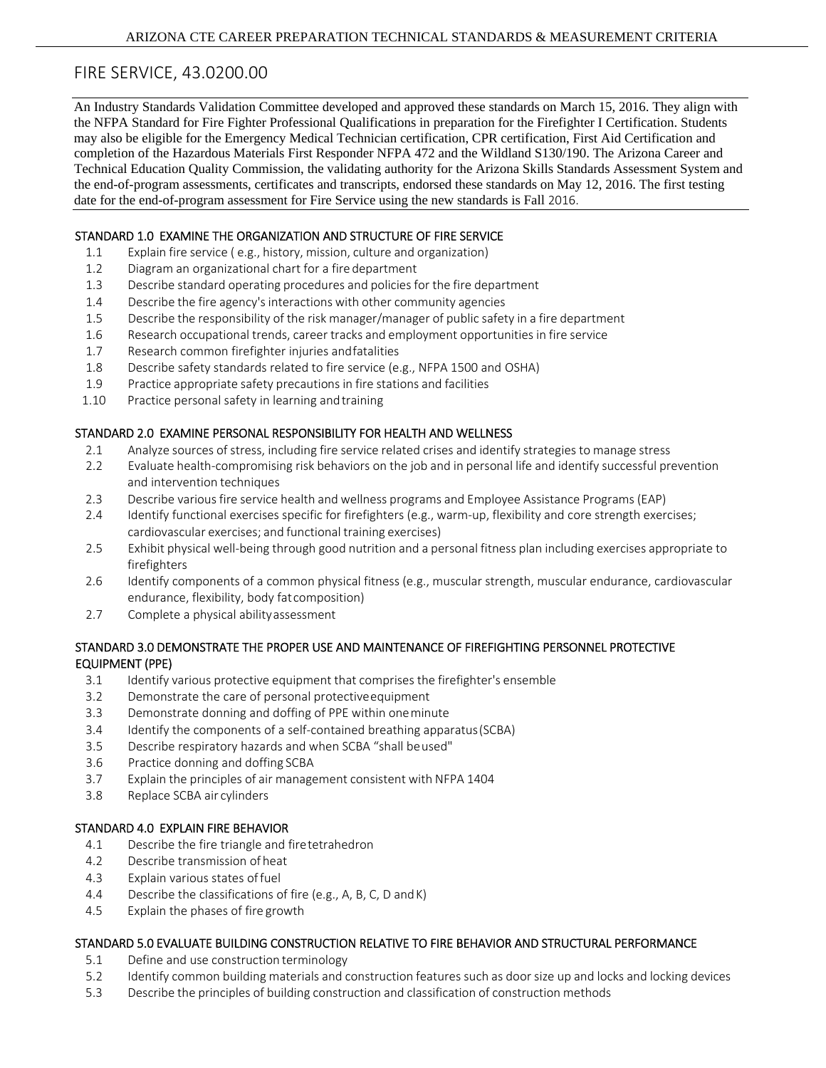# FIRE SERVICE, 43.0200.00

An Industry Standards Validation Committee developed and approved these standards on March 15, 2016. They align with the NFPA Standard for Fire Fighter Professional Qualifications in preparation for the Firefighter I Certification. Students may also be eligible for the Emergency Medical Technician certification, CPR certification, First Aid Certification and completion of the Hazardous Materials First Responder NFPA 472 and the Wildland S130/190. The Arizona Career and Technical Education Quality Commission, the validating authority for the Arizona Skills Standards Assessment System and the end-of-program assessments, certificates and transcripts, endorsed these standards on May 12, 2016. The first testing date for the end-of-program assessment for Fire Service using the new standards is Fall 2016.

#### STANDARD 1.0 EXAMINE THE ORGANIZATION AND STRUCTURE OF FIRE SERVICE

- 1.1 Explain fire service ( e.g., history, mission, culture and organization)
- 1.2 Diagram an organizational chart for a fire department
- 1.3 Describe standard operating procedures and policies for the fire department
- 1.4 Describe the fire agency'sinteractions with other community agencies
- 1.5 Describe the responsibility of the risk manager/manager of public safety in a fire department
- 1.6 Research occupational trends, career tracks and employment opportunities in fire service
- 1.7 Research common firefighter injuries andfatalities
- 1.8 Describe safety standards related to fire service (e.g., NFPA 1500 and OSHA)
- 1.9 Practice appropriate safety precautions in fire stations and facilities
- 1.10 Practice personal safety in learning andtraining

#### STANDARD 2.0 EXAMINE PERSONAL RESPONSIBILITY FOR HEALTH AND WELLNESS

- 2.1 Analyze sources of stress, including fire service related crises and identify strategies to manage stress
- 2.2 Evaluate health-compromising risk behaviors on the job and in personal life and identify successful prevention and intervention techniques
- 2.3 Describe various fire service health and wellness programs and Employee Assistance Programs (EAP)
- 2.4 Identify functional exercises specific for firefighters (e.g., warm-up, flexibility and core strength exercises; cardiovascular exercises; and functional training exercises)
- 2.5 Exhibit physical well‐being through good nutrition and a personal fitness plan including exercises appropriate to firefighters
- 2.6 Identify components of a common physical fitness (e.g., muscular strength, muscular endurance, cardiovascular endurance, flexibility, body fatcomposition)
- 2.7 Complete a physical abilityassessment

#### STANDARD 3.0 DEMONSTRATE THE PROPER USE AND MAINTENANCE OF FIREFIGHTING PERSONNEL PROTECTIVE EQUIPMENT (PPE)

- 3.1 Identify various protective equipment that comprises the firefighter's ensemble
- 3.2 Demonstrate the care of personal protectiveequipment
- 3.3 Demonstrate donning and doffing of PPE within oneminute
- 3.4 Identify the components of a self‐contained breathing apparatus(SCBA)
- 3.5 Describe respiratory hazards and when SCBA "shall beused"
- 3.6 Practice donning and doffing SCBA
- 3.7 Explain the principles of air management consistent with NFPA 1404
- 3.8 Replace SCBA air cylinders

#### STANDARD 4.0 EXPLAIN FIRE BEHAVIOR

- 4.1 Describe the fire triangle and firetetrahedron
- 4.2 Describe transmission of heat
- 4.3 Explain various states offuel
- 4.4 Describe the classifications of fire (e.g., A, B, C, D andK)
- 4.5 Explain the phases of fire growth

#### STANDARD 5.0 EVALUATE BUILDING CONSTRUCTION RELATIVE TO FIRE BEHAVIOR AND STRUCTURAL PERFORMANCE

- 5.1 Define and use construction terminology
- 5.2 Identify common building materials and construction features such as door size up and locks and locking devices
- 5.3 Describe the principles of building construction and classification of construction methods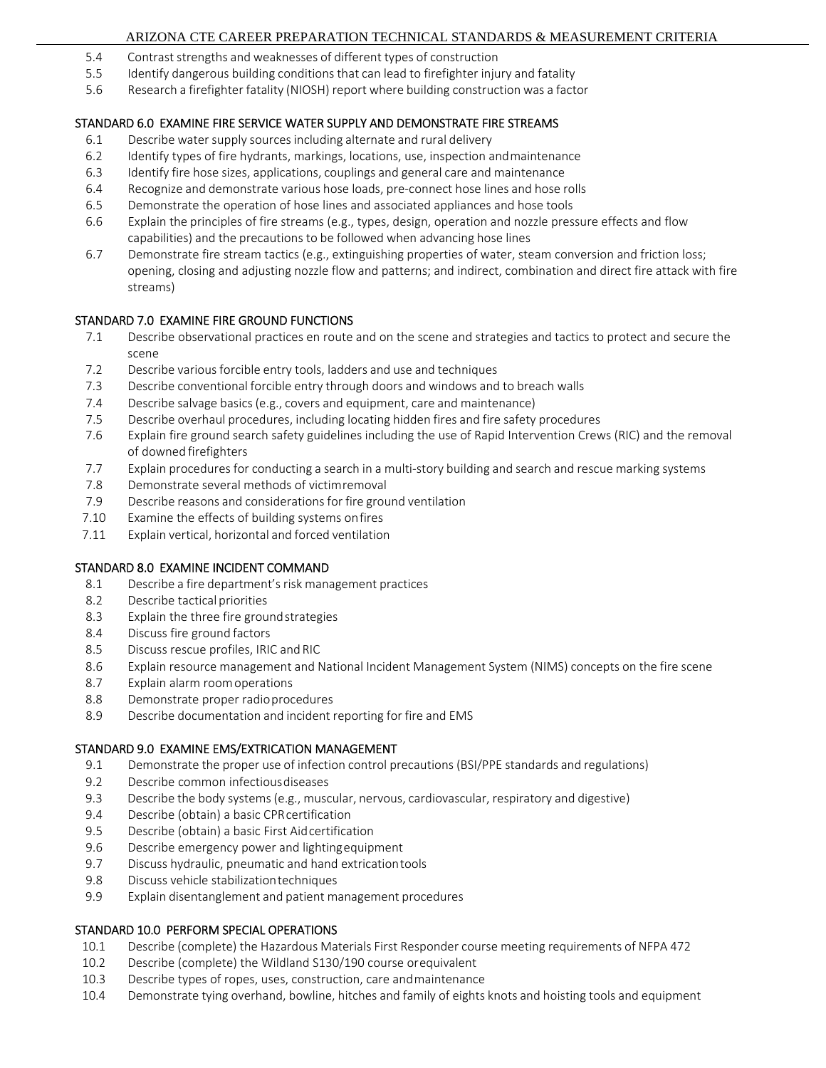# ARIZONA CTE CAREER PREPARATION TECHNICAL STANDARDS & MEASUREMENT CRITERIA

- 5.4 Contrast strengths and weaknesses of different types of construction
- 5.5 Identify dangerous building conditions that can lead to firefighter injury and fatality
- 5.6 Research a firefighter fatality (NIOSH) report where building construction was a factor

# STANDARD 6.0 EXAMINE FIRE SERVICE WATER SUPPLY AND DEMONSTRATE FIRE STREAMS

- 6.1 Describe water supply sources including alternate and rural delivery
- 6.2 Identify types of fire hydrants, markings, locations, use, inspection andmaintenance
- 6.3 Identify fire hose sizes, applications, couplings and general care and maintenance
- 6.4 Recognize and demonstrate various hose loads, pre‐connect hose lines and hose rolls
- 6.5 Demonstrate the operation of hose lines and associated appliances and hose tools
- 6.6 Explain the principles of fire streams (e.g., types, design, operation and nozzle pressure effects and flow capabilities) and the precautions to be followed when advancing hose lines
- 6.7 Demonstrate fire stream tactics (e.g., extinguishing properties of water, steam conversion and friction loss; opening, closing and adjusting nozzle flow and patterns; and indirect, combination and direct fire attack with fire streams)

# STANDARD 7.0 EXAMINE FIRE GROUND FUNCTIONS

- 7.1 Describe observational practices en route and on the scene and strategies and tactics to protect and secure the scene
- 7.2 Describe various forcible entry tools, ladders and use and techniques
- 7.3 Describe conventional forcible entry through doors and windows and to breach walls
- 7.4 Describe salvage basics (e.g., covers and equipment, care and maintenance)
- 7.5 Describe overhaul procedures, including locating hidden fires and fire safety procedures
- 7.6 Explain fire ground search safety guidelines including the use of Rapid Intervention Crews (RIC) and the removal of downed firefighters
- 7.7 Explain procedures for conducting a search in a multi‐story building and search and rescue marking systems
- 7.8 Demonstrate several methods of victimremoval
- 7.9 Describe reasons and considerations for fire ground ventilation
- 7.10 Examine the effects of building systems onfires
- 7.11 Explain vertical, horizontal and forced ventilation

# STANDARD 8.0 EXAMINE INCIDENT COMMAND

- 8.1 Describe a fire department's risk management practices
- 8.2 Describe tactical priorities
- 8.3 Explain the three fire groundstrategies
- 8.4 Discuss fire ground factors
- 8.5 Discuss rescue profiles, IRIC and RIC
- 8.6 Explain resource management and National Incident Management System (NIMS) concepts on the fire scene
- 8.7 Explain alarm roomoperations
- 8.8 Demonstrate proper radioprocedures
- 8.9 Describe documentation and incident reporting for fire and EMS

# STANDARD 9.0 EXAMINE EMS/EXTRICATION MANAGEMENT

- 9.1 Demonstrate the proper use of infection control precautions (BSI/PPE standards and regulations)
- 9.2 Describe common infectiousdiseases
- 9.3 Describe the body systems (e.g., muscular, nervous, cardiovascular, respiratory and digestive)
- 9.4 Describe (obtain) a basic CPRcertification
- 9.5 Describe (obtain) a basic First Aidcertification
- 9.6 Describe emergency power and lightingequipment
- 9.7 Discuss hydraulic, pneumatic and hand extricationtools
- 9.8 Discuss vehicle stabilizationtechniques
- 9.9 Explain disentanglement and patient management procedures

# STANDARD 10.0 PERFORM SPECIAL OPERATIONS

- 10.1 Describe (complete) the Hazardous Materials First Responder course meeting requirements of NFPA 472
- 10.2 Describe (complete) the Wildland S130/190 course orequivalent
- 10.3 Describe types of ropes, uses, construction, care andmaintenance
- 10.4 Demonstrate tying overhand, bowline, hitches and family of eights knots and hoisting tools and equipment